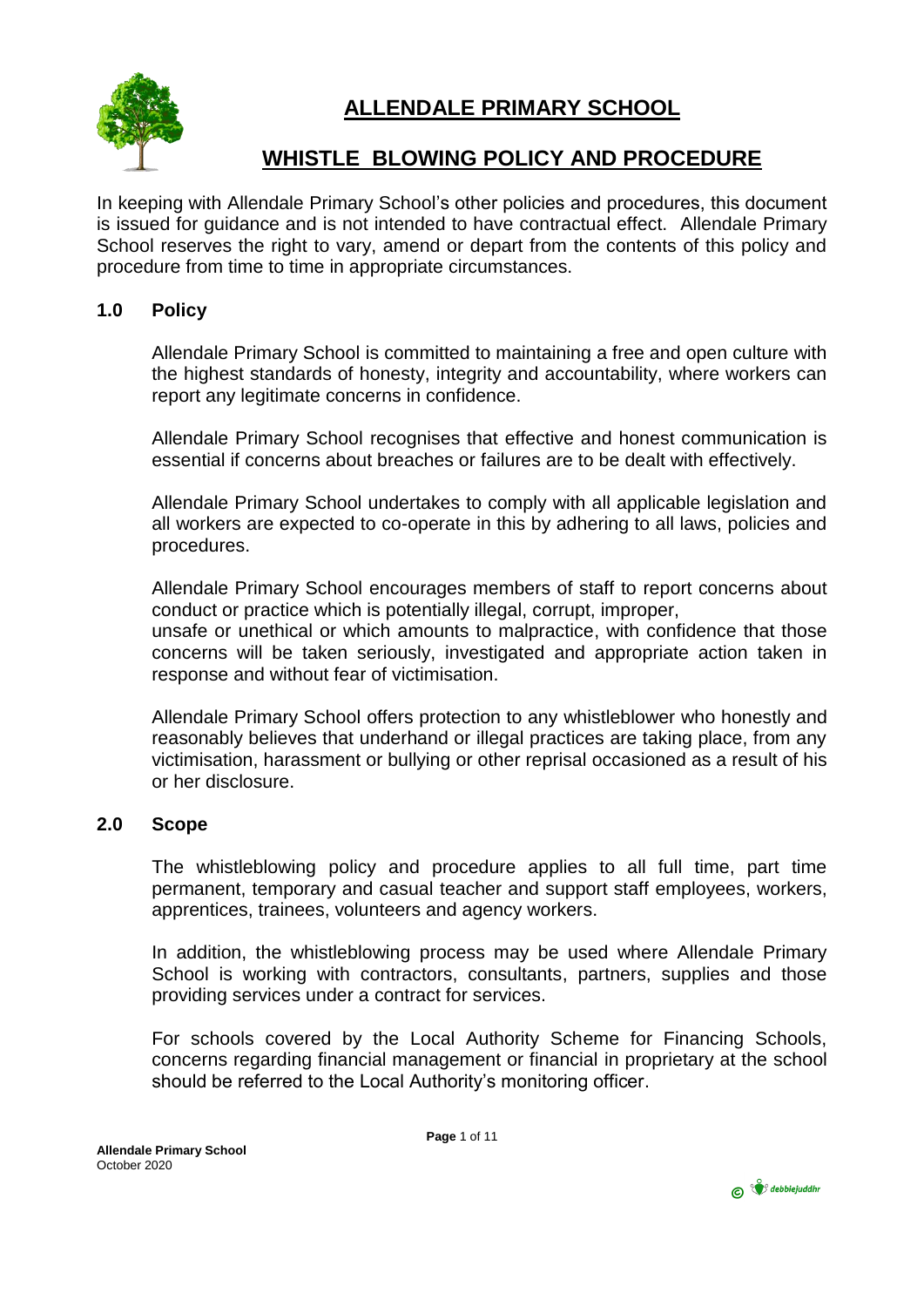**ALLENDALE PRIMARY SCHOOL**



# **WHISTLE BLOWING POLICY AND PROCEDURE**

In keeping with Allendale Primary School's other policies and procedures, this document is issued for guidance and is not intended to have contractual effect. Allendale Primary School reserves the right to vary, amend or depart from the contents of this policy and procedure from time to time in appropriate circumstances.

## **1.0 Policy**

Allendale Primary School is committed to maintaining a free and open culture with the highest standards of honesty, integrity and accountability, where workers can report any legitimate concerns in confidence.

Allendale Primary School recognises that effective and honest communication is essential if concerns about breaches or failures are to be dealt with effectively.

Allendale Primary School undertakes to comply with all applicable legislation and all workers are expected to co-operate in this by adhering to all laws, policies and procedures.

Allendale Primary School encourages members of staff to report concerns about conduct or practice which is potentially illegal, corrupt, improper,

unsafe or unethical or which amounts to malpractice, with confidence that those concerns will be taken seriously, investigated and appropriate action taken in response and without fear of victimisation.

Allendale Primary School offers protection to any whistleblower who honestly and reasonably believes that underhand or illegal practices are taking place, from any victimisation, harassment or bullying or other reprisal occasioned as a result of his or her disclosure.

#### **2.0 Scope**

The whistleblowing policy and procedure applies to all full time, part time permanent, temporary and casual teacher and support staff employees, workers, apprentices, trainees, volunteers and agency workers.

In addition, the whistleblowing process may be used where Allendale Primary School is working with contractors, consultants, partners, supplies and those providing services under a contract for services.

For schools covered by the Local Authority Scheme for Financing Schools, concerns regarding financial management or financial in proprietary at the school should be referred to the Local Authority's monitoring officer.

**Page** 1 of 11

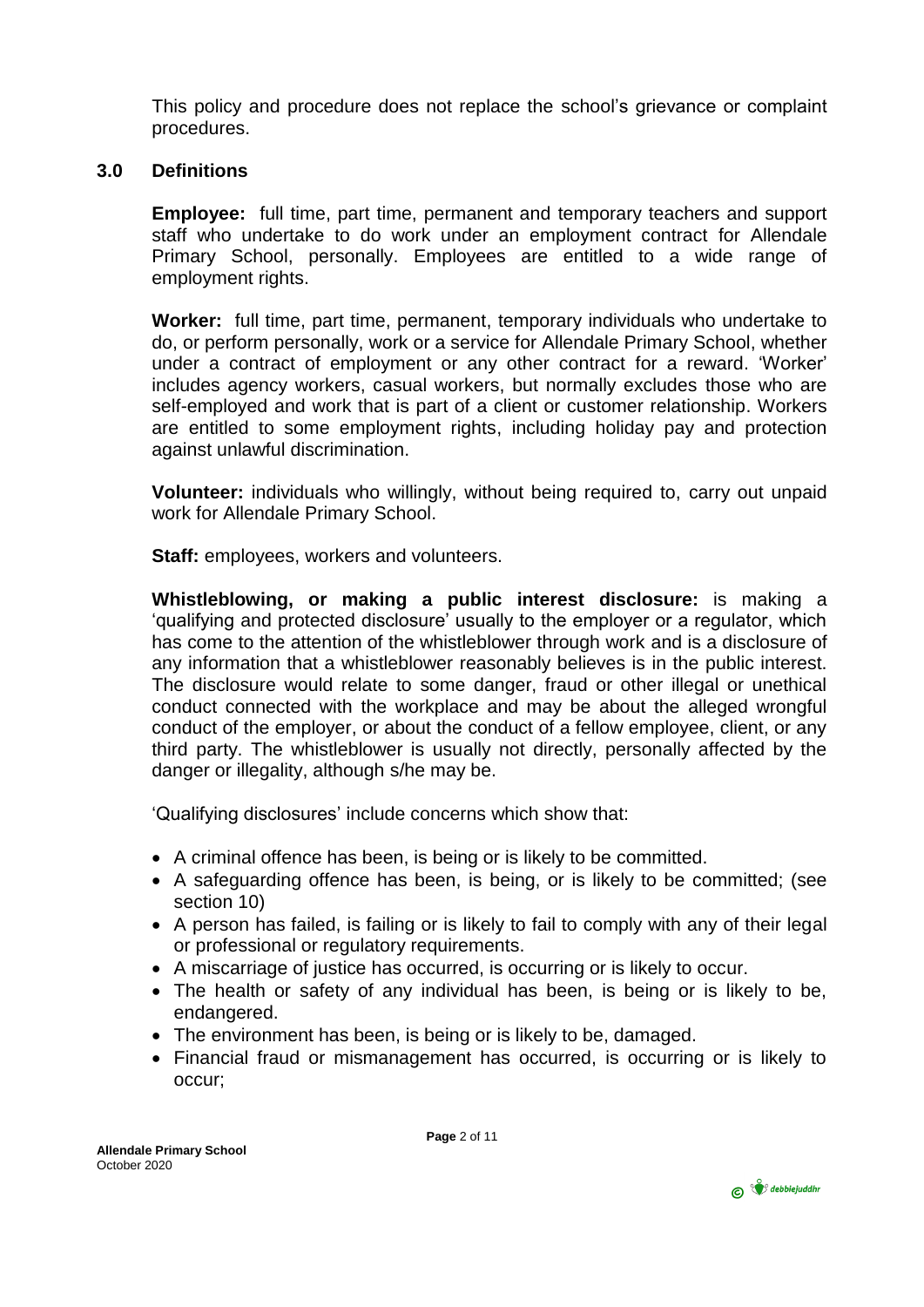This policy and procedure does not replace the school's grievance or complaint procedures.

### **3.0 Definitions**

**Employee:** full time, part time, permanent and temporary teachers and support staff who undertake to do work under an employment contract for Allendale Primary School, personally. Employees are entitled to a wide range of employment rights.

**Worker:** full time, part time, permanent, temporary individuals who undertake to do, or perform personally, work or a service for Allendale Primary School, whether under a contract of employment or any other contract for a reward. 'Worker' includes agency workers, casual workers, but normally excludes those who are self-employed and work that is part of a client or customer relationship. Workers are entitled to some employment rights, including holiday pay and protection against unlawful discrimination.

**Volunteer:** individuals who willingly, without being required to, carry out unpaid work for Allendale Primary School.

**Staff:** employees, workers and volunteers.

**Whistleblowing, or making a public interest disclosure:** is making a 'qualifying and protected disclosure' usually to the employer or a regulator, which has come to the attention of the whistleblower through work and is a disclosure of any information that a whistleblower reasonably believes is in the public interest. The disclosure would relate to some danger, fraud or other illegal or unethical conduct connected with the workplace and may be about the alleged wrongful conduct of the employer, or about the conduct of a fellow employee, client, or any third party. The whistleblower is usually not directly, personally affected by the danger or illegality, although s/he may be.

'Qualifying disclosures' include concerns which show that:

- A criminal offence has been, is being or is likely to be committed.
- A safeguarding offence has been, is being, or is likely to be committed; (see section 10)
- A person has failed, is failing or is likely to fail to comply with any of their legal or professional or regulatory requirements.
- A miscarriage of justice has occurred, is occurring or is likely to occur.
- The health or safety of any individual has been, is being or is likely to be, endangered.
- The environment has been, is being or is likely to be, damaged.
- Financial fraud or mismanagement has occurred, is occurring or is likely to occur;

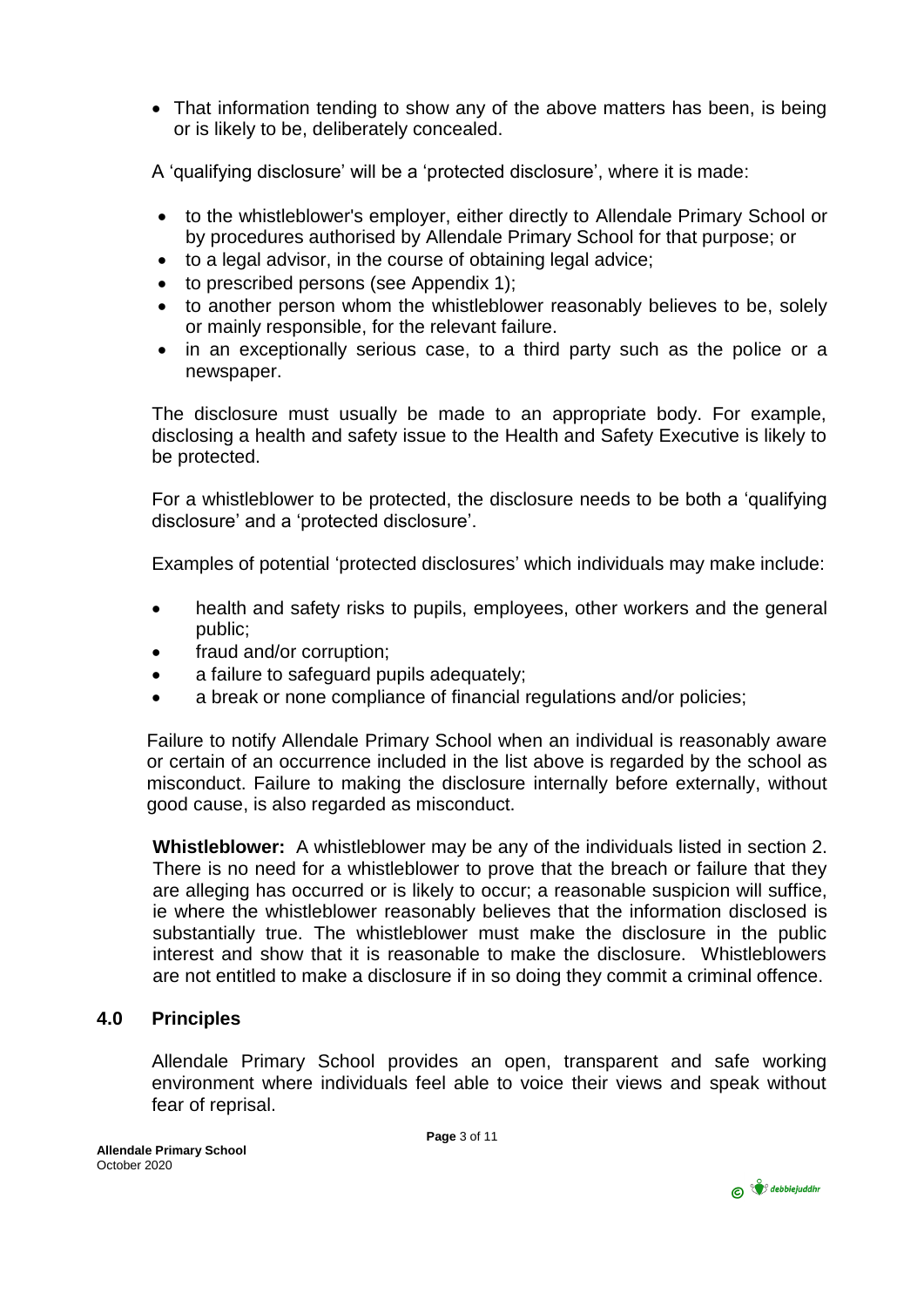• That information tending to show any of the above matters has been, is being or is likely to be, deliberately concealed.

A 'qualifying disclosure' will be a 'protected disclosure', where it is made:

- to the whistleblower's employer, either directly to Allendale Primary School or by procedures authorised by Allendale Primary School for that purpose; or
- to a legal advisor, in the course of obtaining legal advice;
- to prescribed persons (see Appendix 1);
- to another person whom the whistleblower reasonably believes to be, solely or mainly responsible, for the relevant failure.
- in an exceptionally serious case, to a third party such as the police or a newspaper.

The disclosure must usually be made to an appropriate body. For example, disclosing a health and safety issue to the Health and Safety Executive is likely to be protected.

For a whistleblower to be protected, the disclosure needs to be both a 'qualifying disclosure' and a 'protected disclosure'.

Examples of potential 'protected disclosures' which individuals may make include:

- health and safety risks to pupils, employees, other workers and the general public;
- fraud and/or corruption;
- a failure to safeguard pupils adequately:
- a break or none compliance of financial regulations and/or policies;

Failure to notify Allendale Primary School when an individual is reasonably aware or certain of an occurrence included in the list above is regarded by the school as misconduct. Failure to making the disclosure internally before externally, without good cause, is also regarded as misconduct.

**Whistleblower:** A whistleblower may be any of the individuals listed in section 2. There is no need for a whistleblower to prove that the breach or failure that they are alleging has occurred or is likely to occur; a reasonable suspicion will suffice, ie where the whistleblower reasonably believes that the information disclosed is substantially true. The whistleblower must make the disclosure in the public interest and show that it is reasonable to make the disclosure. Whistleblowers are not entitled to make a disclosure if in so doing they commit a criminal offence.

#### **4.0 Principles**

Allendale Primary School provides an open, transparent and safe working environment where individuals feel able to voice their views and speak without fear of reprisal.

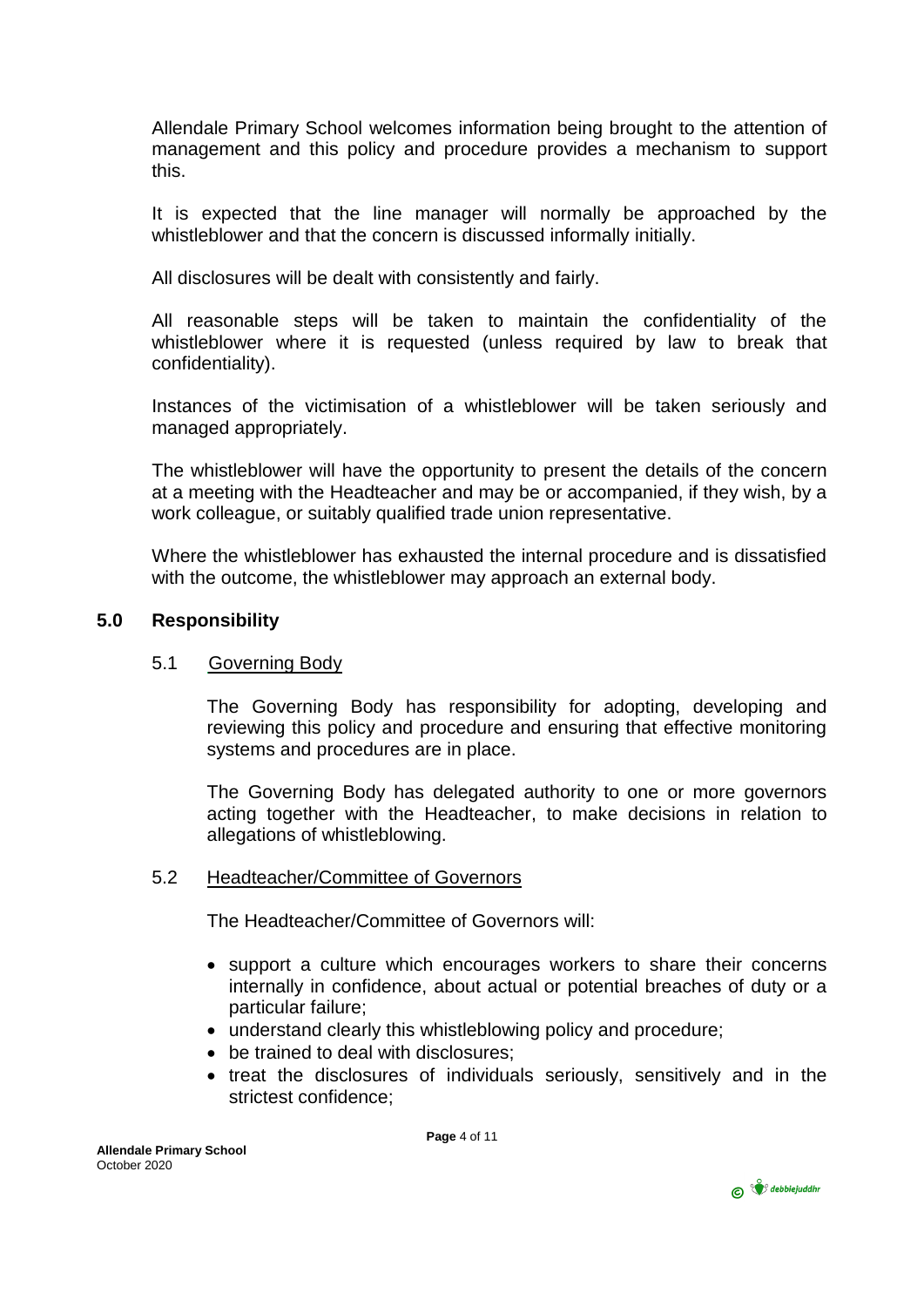Allendale Primary School welcomes information being brought to the attention of management and this policy and procedure provides a mechanism to support this.

It is expected that the line manager will normally be approached by the whistleblower and that the concern is discussed informally initially.

All disclosures will be dealt with consistently and fairly.

All reasonable steps will be taken to maintain the confidentiality of the whistleblower where it is requested (unless required by law to break that confidentiality).

Instances of the victimisation of a whistleblower will be taken seriously and managed appropriately.

The whistleblower will have the opportunity to present the details of the concern at a meeting with the Headteacher and may be or accompanied, if they wish, by a work colleague, or suitably qualified trade union representative.

Where the whistleblower has exhausted the internal procedure and is dissatisfied with the outcome, the whistleblower may approach an external body.

#### **5.0 Responsibility**

#### 5.1 Governing Body

The Governing Body has responsibility for adopting, developing and reviewing this policy and procedure and ensuring that effective monitoring systems and procedures are in place.

The Governing Body has delegated authority to one or more governors acting together with the Headteacher, to make decisions in relation to allegations of whistleblowing.

#### 5.2 Headteacher/Committee of Governors

The Headteacher/Committee of Governors will:

- support a culture which encourages workers to share their concerns internally in confidence, about actual or potential breaches of duty or a particular failure;
- understand clearly this whistleblowing policy and procedure;
- be trained to deal with disclosures:
- treat the disclosures of individuals seriously, sensitively and in the strictest confidence;

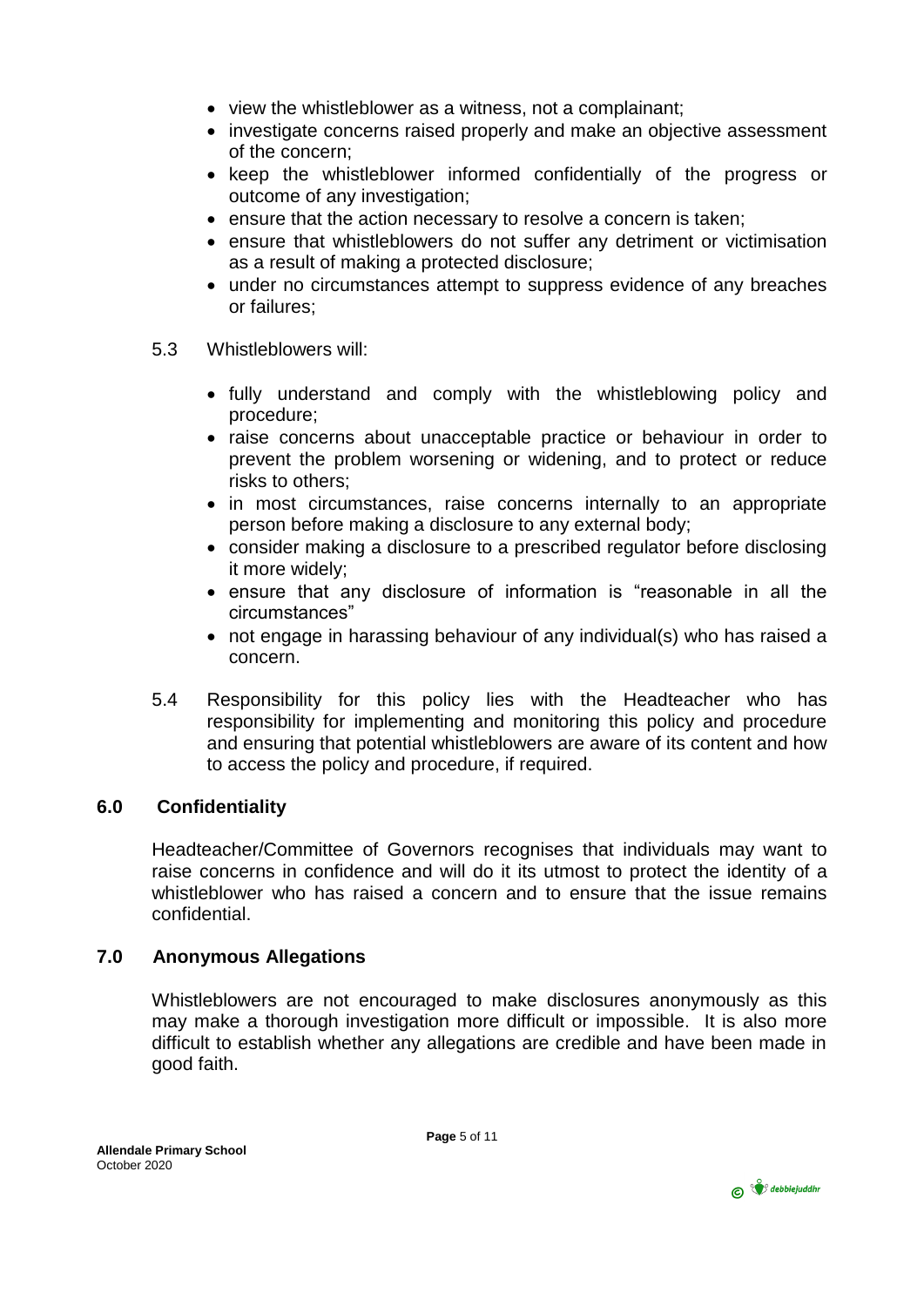- view the whistleblower as a witness, not a complainant;
- investigate concerns raised properly and make an objective assessment of the concern;
- keep the whistleblower informed confidentially of the progress or outcome of any investigation;
- ensure that the action necessary to resolve a concern is taken;
- ensure that whistleblowers do not suffer any detriment or victimisation as a result of making a protected disclosure;
- under no circumstances attempt to suppress evidence of any breaches or failures;
- 5.3 Whistleblowers will:
	- fully understand and comply with the whistleblowing policy and procedure;
	- raise concerns about unacceptable practice or behaviour in order to prevent the problem worsening or widening, and to protect or reduce risks to others;
	- in most circumstances, raise concerns internally to an appropriate person before making a disclosure to any external body;
	- consider making a disclosure to a prescribed regulator before disclosing it more widely;
	- ensure that any disclosure of information is "reasonable in all the circumstances"
	- not engage in harassing behaviour of any individual(s) who has raised a concern.
- 5.4 Responsibility for this policy lies with the Headteacher who has responsibility for implementing and monitoring this policy and procedure and ensuring that potential whistleblowers are aware of its content and how to access the policy and procedure, if required.

# **6.0 Confidentiality**

Headteacher/Committee of Governors recognises that individuals may want to raise concerns in confidence and will do it its utmost to protect the identity of a whistleblower who has raised a concern and to ensure that the issue remains confidential.

# **7.0 Anonymous Allegations**

Whistleblowers are not encouraged to make disclosures anonymously as this may make a thorough investigation more difficult or impossible. It is also more difficult to establish whether any allegations are credible and have been made in good faith.

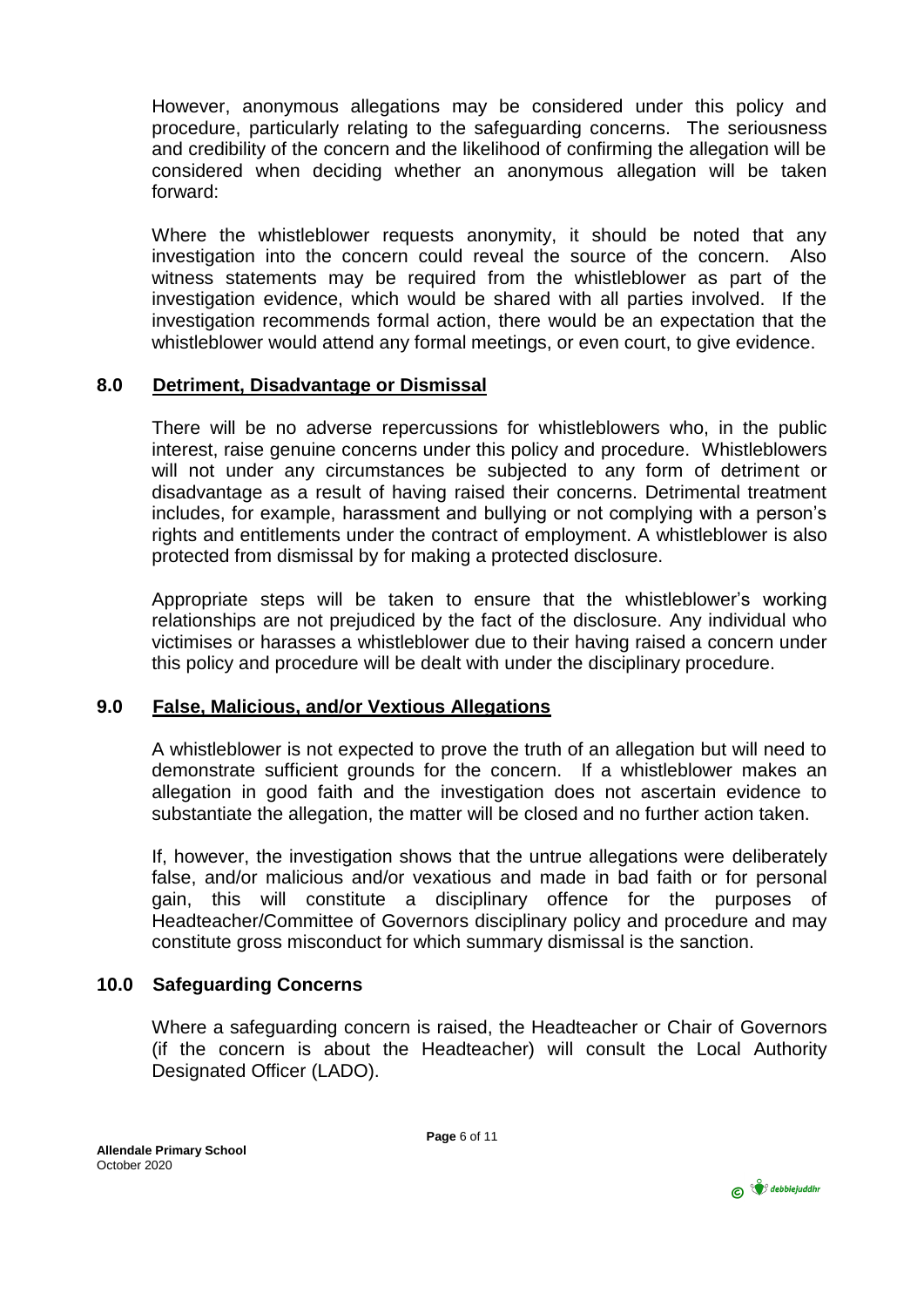However, anonymous allegations may be considered under this policy and procedure, particularly relating to the safeguarding concerns. The seriousness and credibility of the concern and the likelihood of confirming the allegation will be considered when deciding whether an anonymous allegation will be taken forward:

Where the whistleblower requests anonymity, it should be noted that any investigation into the concern could reveal the source of the concern. Also witness statements may be required from the whistleblower as part of the investigation evidence, which would be shared with all parties involved. If the investigation recommends formal action, there would be an expectation that the whistleblower would attend any formal meetings, or even court, to give evidence.

#### **8.0 Detriment, Disadvantage or Dismissal**

There will be no adverse repercussions for whistleblowers who, in the public interest, raise genuine concerns under this policy and procedure. Whistleblowers will not under any circumstances be subjected to any form of detriment or disadvantage as a result of having raised their concerns. Detrimental treatment includes, for example, harassment and bullying or not complying with a person's rights and entitlements under the contract of employment. A whistleblower is also protected from dismissal by for making a protected disclosure.

Appropriate steps will be taken to ensure that the whistleblower's working relationships are not prejudiced by the fact of the disclosure. Any individual who victimises or harasses a whistleblower due to their having raised a concern under this policy and procedure will be dealt with under the disciplinary procedure.

#### **9.0 False, Malicious, and/or Vextious Allegations**

A whistleblower is not expected to prove the truth of an allegation but will need to demonstrate sufficient grounds for the concern. If a whistleblower makes an allegation in good faith and the investigation does not ascertain evidence to substantiate the allegation, the matter will be closed and no further action taken.

If, however, the investigation shows that the untrue allegations were deliberately false, and/or malicious and/or vexatious and made in bad faith or for personal gain, this will constitute a disciplinary offence for the purposes of Headteacher/Committee of Governors disciplinary policy and procedure and may constitute gross misconduct for which summary dismissal is the sanction.

#### **10.0 Safeguarding Concerns**

Where a safeguarding concern is raised, the Headteacher or Chair of Governors (if the concern is about the Headteacher) will consult the Local Authority Designated Officer (LADO).

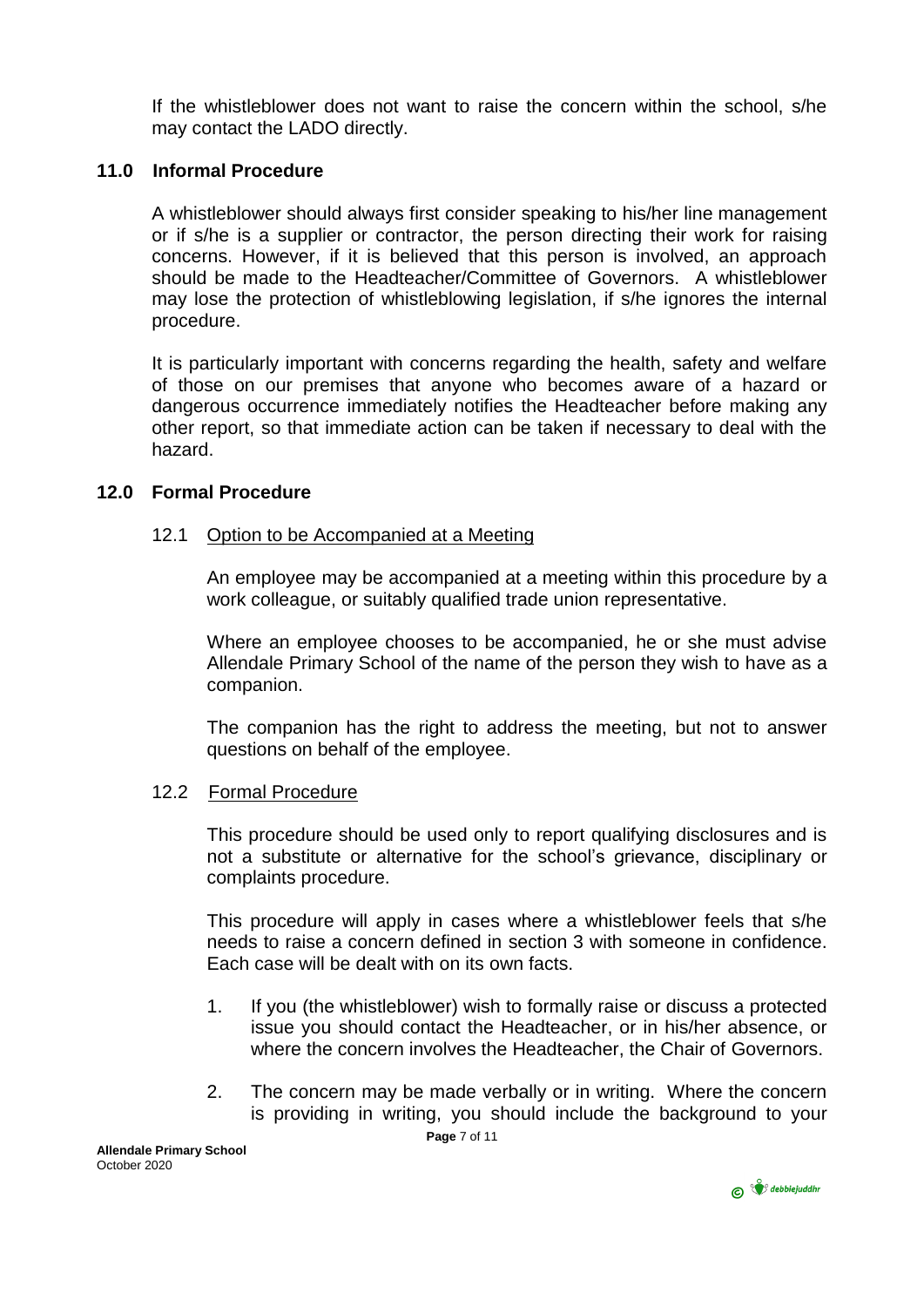If the whistleblower does not want to raise the concern within the school, s/he may contact the LADO directly.

### **11.0 Informal Procedure**

A whistleblower should always first consider speaking to his/her line management or if s/he is a supplier or contractor, the person directing their work for raising concerns. However, if it is believed that this person is involved, an approach should be made to the Headteacher/Committee of Governors. A whistleblower may lose the protection of whistleblowing legislation, if s/he ignores the internal procedure.

It is particularly important with concerns regarding the health, safety and welfare of those on our premises that anyone who becomes aware of a hazard or dangerous occurrence immediately notifies the Headteacher before making any other report, so that immediate action can be taken if necessary to deal with the hazard.

#### **12.0 Formal Procedure**

#### 12.1 Option to be Accompanied at a Meeting

An employee may be accompanied at a meeting within this procedure by a work colleague, or suitably qualified trade union representative.

Where an employee chooses to be accompanied, he or she must advise Allendale Primary School of the name of the person they wish to have as a companion.

The companion has the right to address the meeting, but not to answer questions on behalf of the employee.

#### 12.2 Formal Procedure

This procedure should be used only to report qualifying disclosures and is not a substitute or alternative for the school's grievance, disciplinary or complaints procedure.

This procedure will apply in cases where a whistleblower feels that s/he needs to raise a concern defined in section 3 with someone in confidence. Each case will be dealt with on its own facts.

- 1. If you (the whistleblower) wish to formally raise or discuss a protected issue you should contact the Headteacher, or in his/her absence, or where the concern involves the Headteacher, the Chair of Governors.
- 2. The concern may be made verbally or in writing. Where the concern is providing in writing, you should include the background to your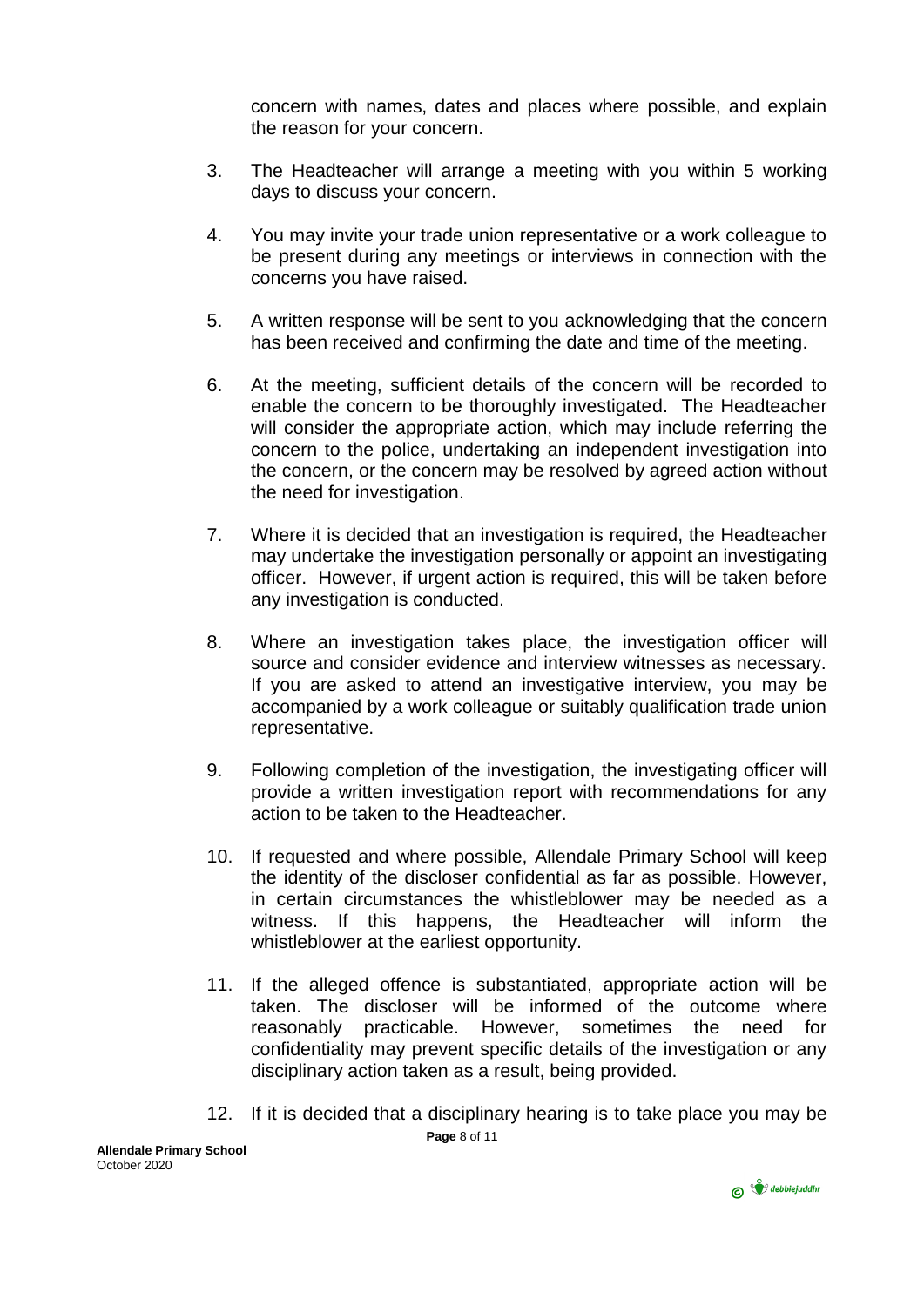concern with names, dates and places where possible, and explain the reason for your concern.

- 3. The Headteacher will arrange a meeting with you within 5 working days to discuss your concern.
- 4. You may invite your trade union representative or a work colleague to be present during any meetings or interviews in connection with the concerns you have raised.
- 5. A written response will be sent to you acknowledging that the concern has been received and confirming the date and time of the meeting.
- 6. At the meeting, sufficient details of the concern will be recorded to enable the concern to be thoroughly investigated. The Headteacher will consider the appropriate action, which may include referring the concern to the police, undertaking an independent investigation into the concern, or the concern may be resolved by agreed action without the need for investigation.
- 7. Where it is decided that an investigation is required, the Headteacher may undertake the investigation personally or appoint an investigating officer. However, if urgent action is required, this will be taken before any investigation is conducted.
- 8. Where an investigation takes place, the investigation officer will source and consider evidence and interview witnesses as necessary. If you are asked to attend an investigative interview, you may be accompanied by a work colleague or suitably qualification trade union representative.
- 9. Following completion of the investigation, the investigating officer will provide a written investigation report with recommendations for any action to be taken to the Headteacher.
- 10. If requested and where possible, Allendale Primary School will keep the identity of the discloser confidential as far as possible. However, in certain circumstances the whistleblower may be needed as a witness. If this happens, the Headteacher will inform the whistleblower at the earliest opportunity.
- 11. If the alleged offence is substantiated, appropriate action will be taken. The discloser will be informed of the outcome where reasonably practicable. However, sometimes the need for confidentiality may prevent specific details of the investigation or any disciplinary action taken as a result, being provided.
- **Page** 8 of 11 12. If it is decided that a disciplinary hearing is to take place you may be

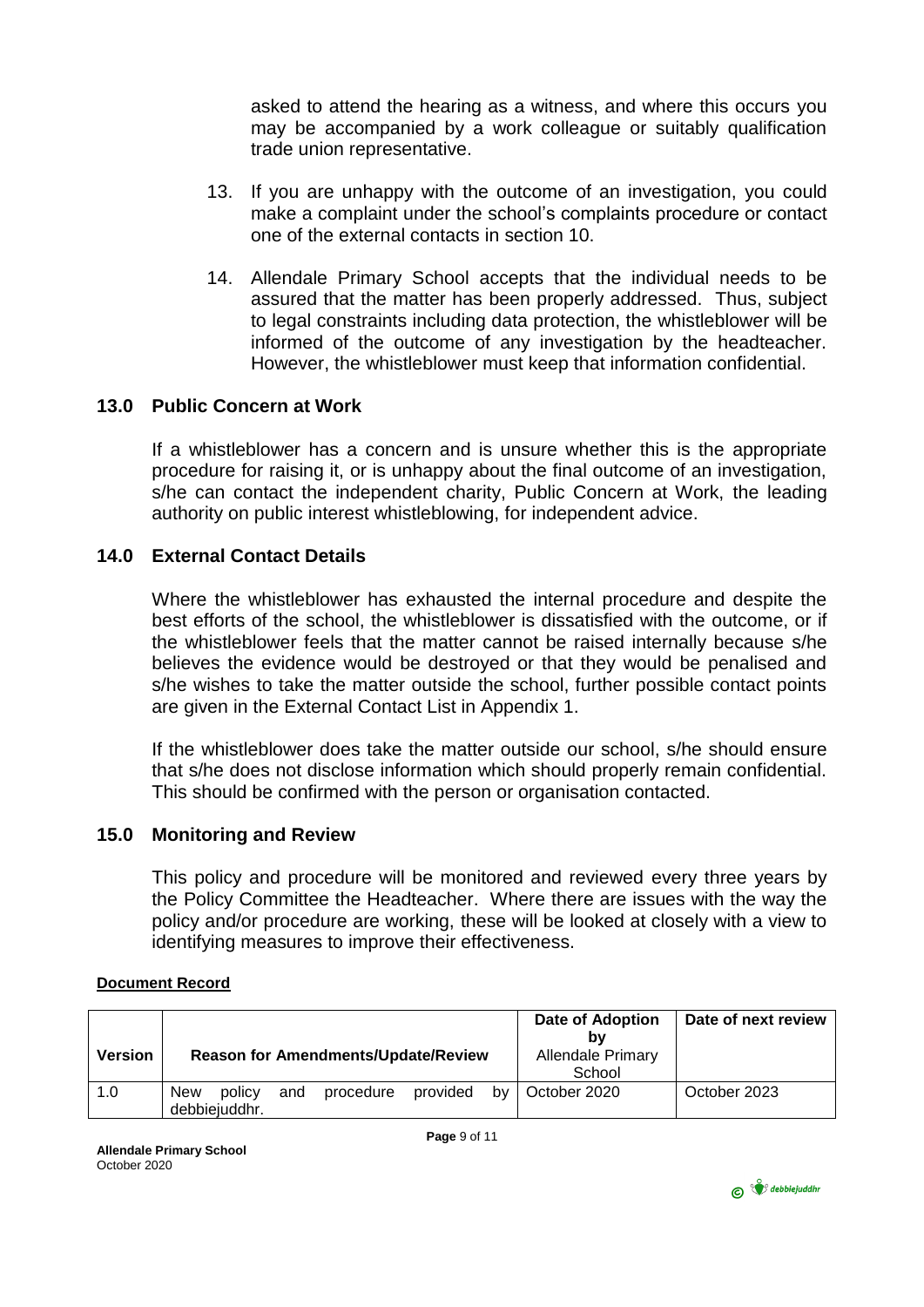asked to attend the hearing as a witness, and where this occurs you may be accompanied by a work colleague or suitably qualification trade union representative.

- 13. If you are unhappy with the outcome of an investigation, you could make a complaint under the school's complaints procedure or contact one of the external contacts in section 10.
- 14. Allendale Primary School accepts that the individual needs to be assured that the matter has been properly addressed. Thus, subject to legal constraints including data protection, the whistleblower will be informed of the outcome of any investigation by the headteacher. However, the whistleblower must keep that information confidential.

#### **13.0 Public Concern at Work**

If a whistleblower has a concern and is unsure whether this is the appropriate procedure for raising it, or is unhappy about the final outcome of an investigation, s/he can contact the independent charity, Public Concern at Work, the leading authority on public interest whistleblowing, for independent advice.

#### **14.0 External Contact Details**

Where the whistleblower has exhausted the internal procedure and despite the best efforts of the school, the whistleblower is dissatisfied with the outcome, or if the whistleblower feels that the matter cannot be raised internally because s/he believes the evidence would be destroyed or that they would be penalised and s/he wishes to take the matter outside the school, further possible contact points are given in the External Contact List in Appendix 1.

If the whistleblower does take the matter outside our school, s/he should ensure that s/he does not disclose information which should properly remain confidential. This should be confirmed with the person or organisation contacted.

#### **15.0 Monitoring and Review**

This policy and procedure will be monitored and reviewed every three years by the Policy Committee the Headteacher. Where there are issues with the way the policy and/or procedure are working, these will be looked at closely with a view to identifying measures to improve their effectiveness.

#### **Document Record**

| <b>Version</b> | <b>Reason for Amendments/Update/Review</b> |     |           |          |    | <b>Date of Adoption</b><br>b٧<br><b>Allendale Primary</b><br>School | Date of next review |
|----------------|--------------------------------------------|-----|-----------|----------|----|---------------------------------------------------------------------|---------------------|
| 1.0            | <b>New</b><br>policy<br>debbiejuddhr.      | and | procedure | provided | bv | October 2020                                                        | October 2023        |

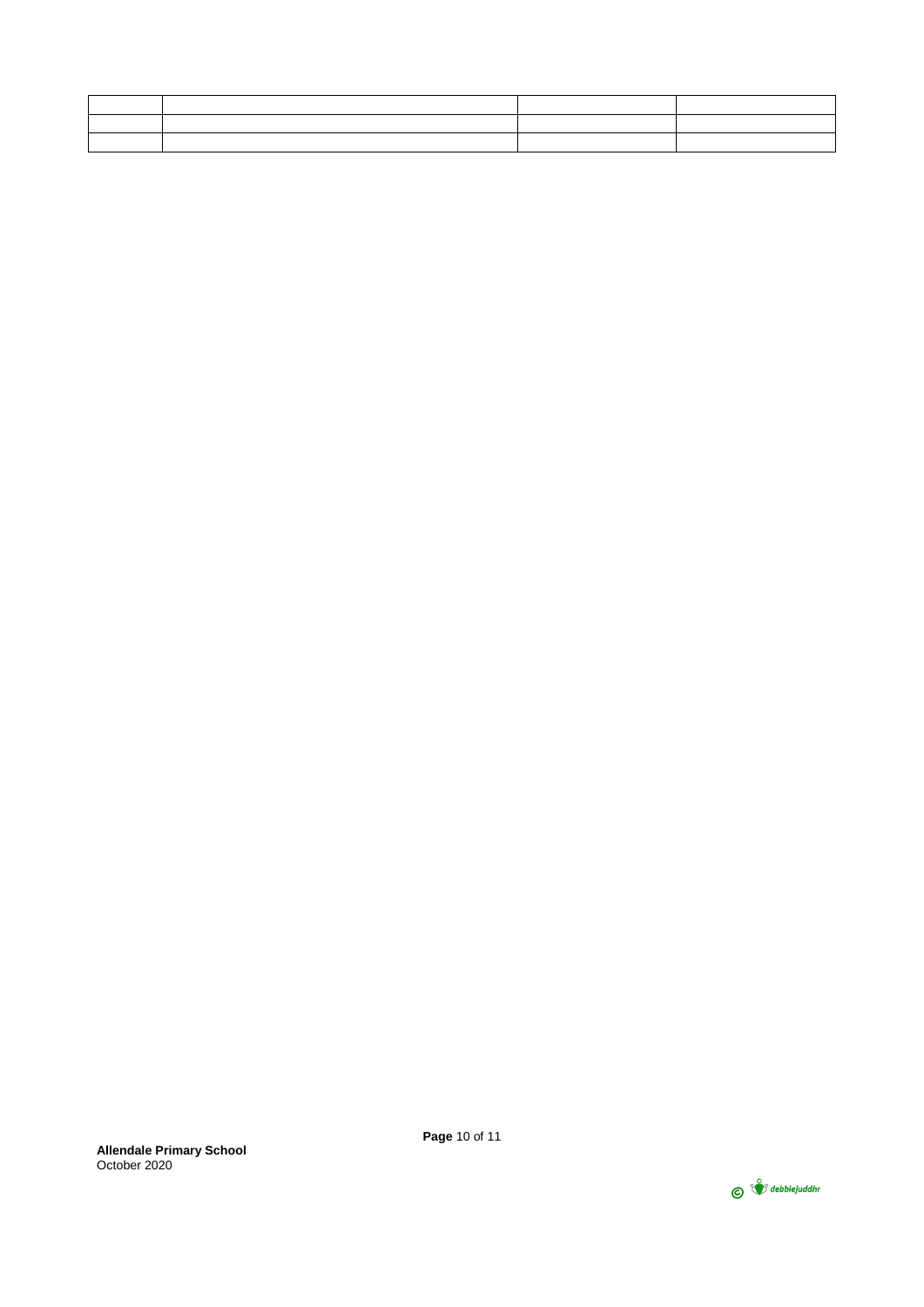| <u>. In the contract of the contract of the contract of the contract of the contract of the contract of the contract of the contract of the contract of the contract of the contract of the contract of the contract of the cont</u><br><u> 2000 - Andrea Andrews American American American American American American American American American America</u> |  |
|----------------------------------------------------------------------------------------------------------------------------------------------------------------------------------------------------------------------------------------------------------------------------------------------------------------------------------------------------------------|--|
|                                                                                                                                                                                                                                                                                                                                                                |  |
|                                                                                                                                                                                                                                                                                                                                                                |  |